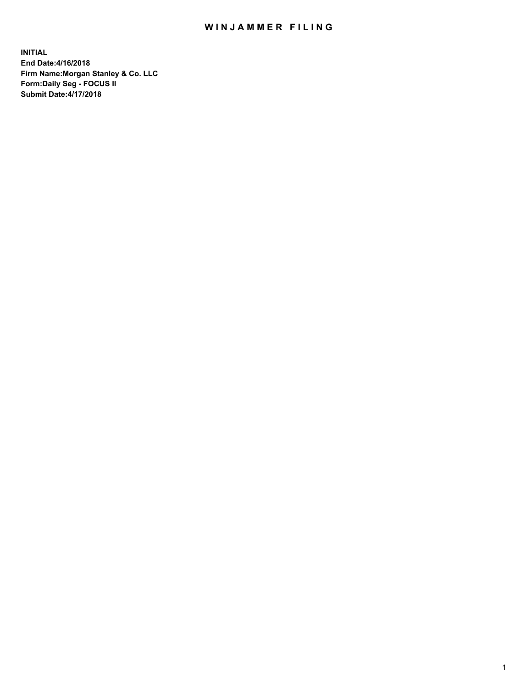## WIN JAMMER FILING

**INITIAL End Date:4/16/2018 Firm Name:Morgan Stanley & Co. LLC Form:Daily Seg - FOCUS II Submit Date:4/17/2018**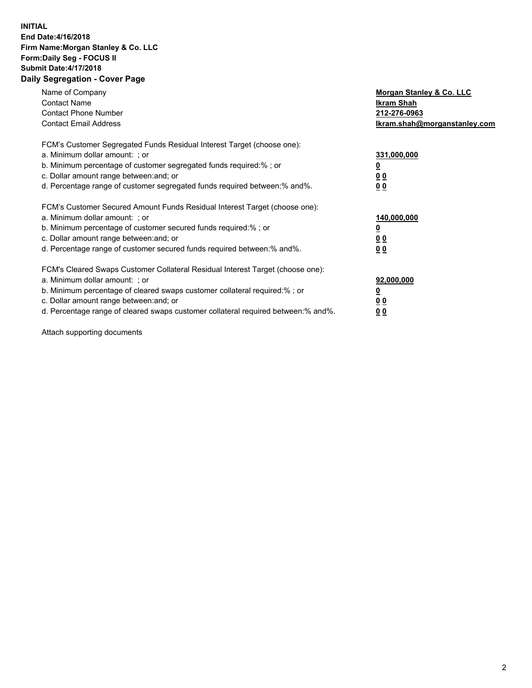### **INITIAL End Date:4/16/2018 Firm Name:Morgan Stanley & Co. LLC Form:Daily Seg - FOCUS II Submit Date:4/17/2018 Daily Segregation - Cover Page**

| Name of Company<br><b>Contact Name</b><br><b>Contact Phone Number</b><br><b>Contact Email Address</b>                                                                                                                                                                                                                          | Morgan Stanley & Co. LLC<br>Ikram Shah<br>212-276-0963<br>lkram.shah@morganstanley.com |
|--------------------------------------------------------------------------------------------------------------------------------------------------------------------------------------------------------------------------------------------------------------------------------------------------------------------------------|----------------------------------------------------------------------------------------|
| FCM's Customer Segregated Funds Residual Interest Target (choose one):<br>a. Minimum dollar amount: ; or<br>b. Minimum percentage of customer segregated funds required:%; or<br>c. Dollar amount range between: and; or<br>d. Percentage range of customer segregated funds required between: % and %.                        | 331,000,000<br>0 <sub>0</sub><br>00                                                    |
| FCM's Customer Secured Amount Funds Residual Interest Target (choose one):<br>a. Minimum dollar amount: ; or<br>b. Minimum percentage of customer secured funds required:%; or<br>c. Dollar amount range between: and; or<br>d. Percentage range of customer secured funds required between:% and%.                            | 140,000,000<br>0 <sub>0</sub><br>0 <sub>0</sub>                                        |
| FCM's Cleared Swaps Customer Collateral Residual Interest Target (choose one):<br>a. Minimum dollar amount: ; or<br>b. Minimum percentage of cleared swaps customer collateral required:% ; or<br>c. Dollar amount range between: and; or<br>d. Percentage range of cleared swaps customer collateral required between:% and%. | 92,000,000<br>0 <sub>0</sub><br>0 <sub>0</sub>                                         |

Attach supporting documents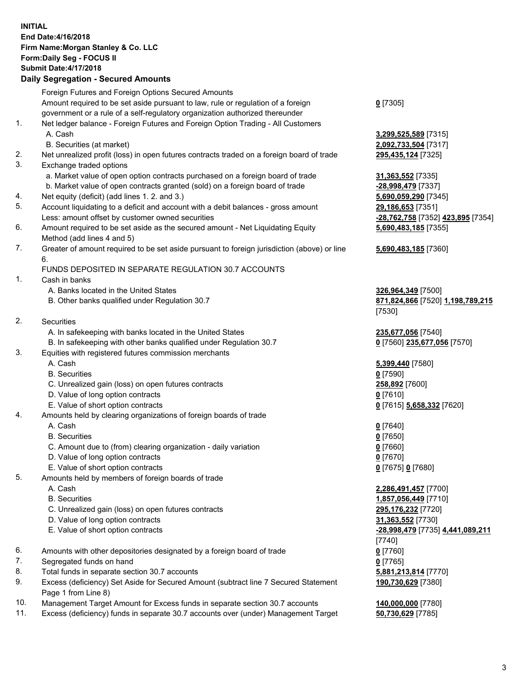# **INITIAL End Date:4/16/2018 Firm Name:Morgan Stanley & Co. LLC Form:Daily Seg - FOCUS II Submit Date:4/17/2018**

## **Daily Segregation - Secured Amounts**

|    | Foreign Futures and Foreign Options Secured Amounts                                                        |                                        |
|----|------------------------------------------------------------------------------------------------------------|----------------------------------------|
|    | Amount required to be set aside pursuant to law, rule or regulation of a foreign                           | $0$ [7305]                             |
|    | government or a rule of a self-regulatory organization authorized thereunder                               |                                        |
| 1. | Net ledger balance - Foreign Futures and Foreign Option Trading - All Customers                            |                                        |
|    | A. Cash                                                                                                    | 3,299,525,589 [7315]                   |
|    | B. Securities (at market)                                                                                  | 2,092,733,504 [7317]                   |
| 2. | Net unrealized profit (loss) in open futures contracts traded on a foreign board of trade                  | 295,435,124 [7325]                     |
| 3. | Exchange traded options                                                                                    |                                        |
|    | a. Market value of open option contracts purchased on a foreign board of trade                             | 31,363,552 [7335]                      |
|    | b. Market value of open contracts granted (sold) on a foreign board of trade                               | -28,998,479 [7337]                     |
| 4. | Net equity (deficit) (add lines 1.2. and 3.)                                                               | 5,690,059,290 [7345]                   |
| 5. | Account liquidating to a deficit and account with a debit balances - gross amount                          | 29,186,653 [7351]                      |
|    | Less: amount offset by customer owned securities                                                           | -28,762,758 [7352] 423,895 [7354       |
| 6. | Amount required to be set aside as the secured amount - Net Liquidating Equity                             | 5,690,483,185 [7355]                   |
|    | Method (add lines 4 and 5)                                                                                 |                                        |
| 7. | Greater of amount required to be set aside pursuant to foreign jurisdiction (above) or line                | 5,690,483,185 [7360]                   |
|    | 6.                                                                                                         |                                        |
|    | FUNDS DEPOSITED IN SEPARATE REGULATION 30.7 ACCOUNTS                                                       |                                        |
| 1. | Cash in banks                                                                                              |                                        |
|    | A. Banks located in the United States                                                                      | 326,964,349 [7500]                     |
|    | B. Other banks qualified under Regulation 30.7                                                             | <u>871,824,866</u> [7520] 1,198,789,21 |
|    |                                                                                                            | [7530]                                 |
| 2. | Securities                                                                                                 |                                        |
|    | A. In safekeeping with banks located in the United States                                                  | 235,677,056 [7540]                     |
|    | B. In safekeeping with other banks qualified under Regulation 30.7                                         | 0 [7560] 235,677,056 [7570]            |
| 3. | Equities with registered futures commission merchants                                                      |                                        |
|    | A. Cash                                                                                                    | 5,399,440 [7580]                       |
|    | <b>B.</b> Securities                                                                                       | $0$ [7590]                             |
|    | C. Unrealized gain (loss) on open futures contracts                                                        | 258,892 [7600]                         |
|    | D. Value of long option contracts                                                                          | $0$ [7610]                             |
|    | E. Value of short option contracts                                                                         | 0 [7615] 5,658,332 [7620]              |
| 4. | Amounts held by clearing organizations of foreign boards of trade                                          |                                        |
|    | A. Cash                                                                                                    | $0$ [7640]                             |
|    | <b>B.</b> Securities                                                                                       | $0$ [7650]                             |
|    | C. Amount due to (from) clearing organization - daily variation                                            | $0$ [7660]                             |
|    | D. Value of long option contracts                                                                          | $0$ [7670]                             |
|    | E. Value of short option contracts                                                                         | 0 [7675] 0 [7680]                      |
| 5. | Amounts held by members of foreign boards of trade                                                         |                                        |
|    | A. Cash                                                                                                    | 2,286,491,457 [7700]                   |
|    | <b>B.</b> Securities                                                                                       | 1,857,056,449 [7710]                   |
|    | C. Unrealized gain (loss) on open futures contracts                                                        | 295,176,232 [7720]                     |
|    | D. Value of long option contracts                                                                          | 31,363,552 [7730]                      |
|    | E. Value of short option contracts                                                                         | -28,998,479 [7735] 4,441,089,211       |
|    |                                                                                                            | [7740]                                 |
| 6. | Amounts with other depositories designated by a foreign board of trade                                     | $0$ [7760]                             |
| 7. | Segregated funds on hand                                                                                   | $0$ [7765]                             |
| 8. | Total funds in separate section 30.7 accounts                                                              | 5,881,213,814 [7770]                   |
| 9. | Excess (deficiency) Set Aside for Secured Amount (subtract line 7 Secured Statement<br>Page 1 from Line 8) | 190,730,629 [7380]                     |

- 10. Management Target Amount for Excess funds in separate section 30.7 accounts **140,000,000** [7780]
- 11. Excess (deficiency) funds in separate 30.7 accounts over (under) Management Target **50,730,629** [7785]

### **5,690,483,185** [7360]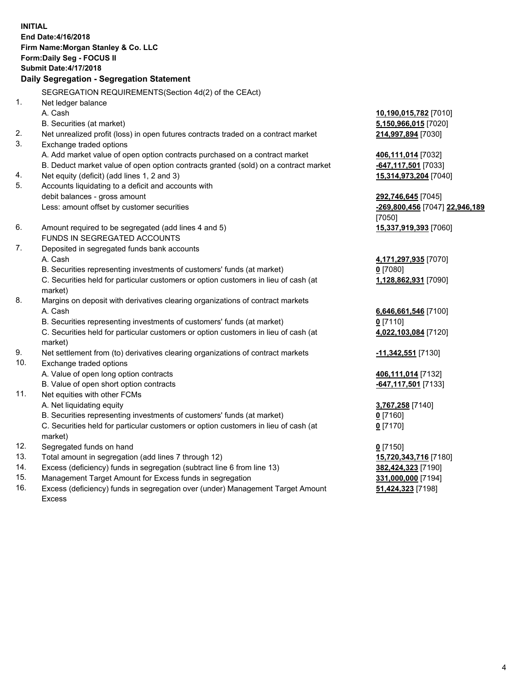**INITIAL End Date:4/16/2018 Firm Name:Morgan Stanley & Co. LLC Form:Daily Seg - FOCUS II Submit Date:4/17/2018 Daily Segregation - Segregation Statement** SEGREGATION REQUIREMENTS(Section 4d(2) of the CEAct) 1. Net ledger balance A. Cash **10,190,015,782** [7010] B. Securities (at market) **5,150,966,015** [7020] 2. Net unrealized profit (loss) in open futures contracts traded on a contract market **214,997,894** [7030] 3. Exchange traded options A. Add market value of open option contracts purchased on a contract market **406,111,014** [7032] B. Deduct market value of open option contracts granted (sold) on a contract market **-647,117,501** [7033] 4. Net equity (deficit) (add lines 1, 2 and 3) **15,314,973,204** [7040] 5. Accounts liquidating to a deficit and accounts with debit balances - gross amount **292,746,645** [7045] Less: amount offset by customer securities **-269,800,456** [7047] **22,946,189** [7050] 6. Amount required to be segregated (add lines 4 and 5) **15,337,919,393** [7060] FUNDS IN SEGREGATED ACCOUNTS 7. Deposited in segregated funds bank accounts A. Cash **4,171,297,935** [7070] B. Securities representing investments of customers' funds (at market) **0** [7080] C. Securities held for particular customers or option customers in lieu of cash (at market) **1,128,862,931** [7090] 8. Margins on deposit with derivatives clearing organizations of contract markets A. Cash **6,646,661,546** [7100] B. Securities representing investments of customers' funds (at market) **0** [7110] C. Securities held for particular customers or option customers in lieu of cash (at market) **4,022,103,084** [7120] 9. Net settlement from (to) derivatives clearing organizations of contract markets **-11,342,551** [7130] 10. Exchange traded options A. Value of open long option contracts **406,111,014** [7132] B. Value of open short option contracts **-647,117,501** [7133] 11. Net equities with other FCMs A. Net liquidating equity **3,767,258** [7140] B. Securities representing investments of customers' funds (at market) **0** [7160] C. Securities held for particular customers or option customers in lieu of cash (at market) **0** [7170] 12. Segregated funds on hand **0** [7150] 13. Total amount in segregation (add lines 7 through 12) **15,720,343,716** [7180] 14. Excess (deficiency) funds in segregation (subtract line 6 from line 13) **382,424,323** [7190] 15. Management Target Amount for Excess funds in segregation **331,000,000** [7194]

16. Excess (deficiency) funds in segregation over (under) Management Target Amount Excess

**51,424,323** [7198]